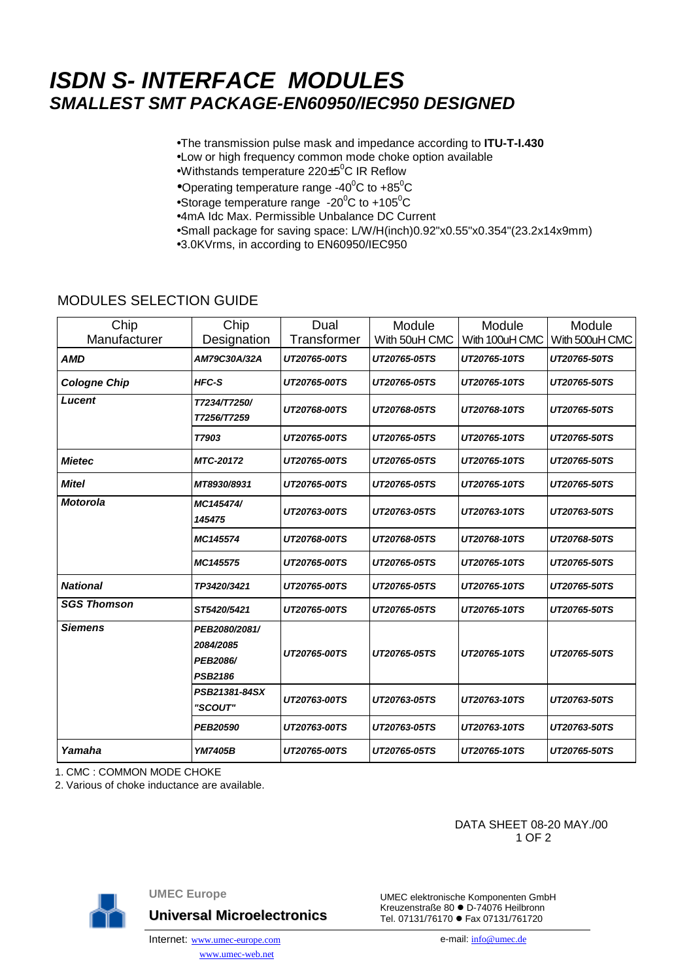## *ISDN S- INTERFACE MODULES SMALLEST SMT PACKAGE-EN60950/IEC950 DESIGNED*

- •The transmission pulse mask and impedance according to **ITU-T-I.430**
- •Low or high frequency common mode choke option available
- $\bullet$ Withstands temperature 220 $\pm$ 5<sup>°</sup>C IR Reflow
- $\bullet$ Operating temperature range -40 $^{\rm o}$ C to +85 $^{\rm o}$ C
- $\bullet$ Storage temperature range -20 $\mathrm{^0C}$  to +105 $\mathrm{^0C}$ 
	- •4mA Idc Max. Permissible Unbalance DC Current
	- •Small package for saving space: L/W/H(inch)0.92"x0.55"x0.354"(23.2x14x9mm)
	- •3.0KVrms, in according to EN60950/IEC950

| Chip                | Chip                                                     | Dual                |                              |                          |                          |  |
|---------------------|----------------------------------------------------------|---------------------|------------------------------|--------------------------|--------------------------|--|
| Manufacturer        | Designation                                              | Transformer         | Module<br>With 50uH CMC      | Module<br>With 100uH CMC | Module<br>With 500uH CMC |  |
|                     |                                                          |                     |                              |                          |                          |  |
| AMD                 | AM79C30A/32A                                             | <b>UT20765-00TS</b> | UT20765-10TS<br>UT20765-05TS |                          | UT20765-50TS             |  |
| <b>Cologne Chip</b> | HFC-S                                                    | UT20765-00TS        | UT20765-05TS                 | UT20765-10TS             | UT20765-50TS             |  |
| Lucent              | T7234/T7250/<br>T7256/T7259                              | <b>UT20768-00TS</b> | UT20768-05TS                 | UT20768-10TS             | UT20765-50TS             |  |
|                     | <b>T7903</b>                                             | UT20765-00TS        | UT20765-05TS                 | UT20765-10TS             | UT20765-50TS             |  |
| <b>Mietec</b>       | <b>MTC-20172</b>                                         | UT20765-00TS        | UT20765-05TS                 | UT20765-10TS             | UT20765-50TS             |  |
| <b>Mitel</b>        | MT8930/8931                                              | UT20765-00TS        | UT20765-05TS                 | UT20765-10TS             | UT20765-50TS             |  |
| <b>Motorola</b>     | MC145474/<br>145475                                      | <b>UT20763-00TS</b> | UT20763-05TS                 | UT20763-10TS             | UT20763-50TS             |  |
|                     | MC145574                                                 | <b>UT20768-00TS</b> | UT20768-05TS                 | UT20768-10TS             | UT20768-50TS             |  |
|                     | MC145575                                                 | UT20765-00TS        | UT20765-05TS                 | UT20765-10TS             | UT20765-50TS             |  |
| <b>National</b>     | TP3420/3421                                              | UT20765-00TS        | UT20765-05TS                 | UT20765-10TS             | UT20765-50TS             |  |
| <b>SGS Thomson</b>  | ST5420/5421                                              | UT20765-00TS        | UT20765-05TS                 | UT20765-10TS             | UT20765-50TS             |  |
| <b>Siemens</b>      | PEB2080/2081/<br>2084/2085<br>PEB2086/<br><b>PSB2186</b> | UT20765-00TS        | UT20765-05TS<br>UT20765-10TS |                          | UT20765-50TS             |  |
|                     | PSB21381-84SX<br>"SCOUT"                                 | UT20763-00TS        | UT20763-05TS                 | UT20763-10TS             | UT20763-50TS             |  |
|                     | <b>PEB20590</b>                                          | UT20763-00TS        | UT20763-05TS                 | UT20763-10TS             | UT20763-50TS             |  |
| Yamaha              | <b>YM7405B</b>                                           | UT20765-00TS        | UT20765-05TS                 | UT20765-10TS             | UT20765-50TS             |  |

#### MODULES SELECTION GUIDE

1. CMC : COMMON MODE CHOKE

2. Various of choke inductance are available.

 DATA SHEET 08-20 MAY./00  $1$  OF 2



**UMEC Europe Universal Microelectronics**

UMEC elektronische Komponenten GmbH Kreuzenstraße 80 D-74076 Heilbronn Tel. 07131/76170 · Fax 07131/761720

Internet: www.umec-europe.com www.umec-web.net